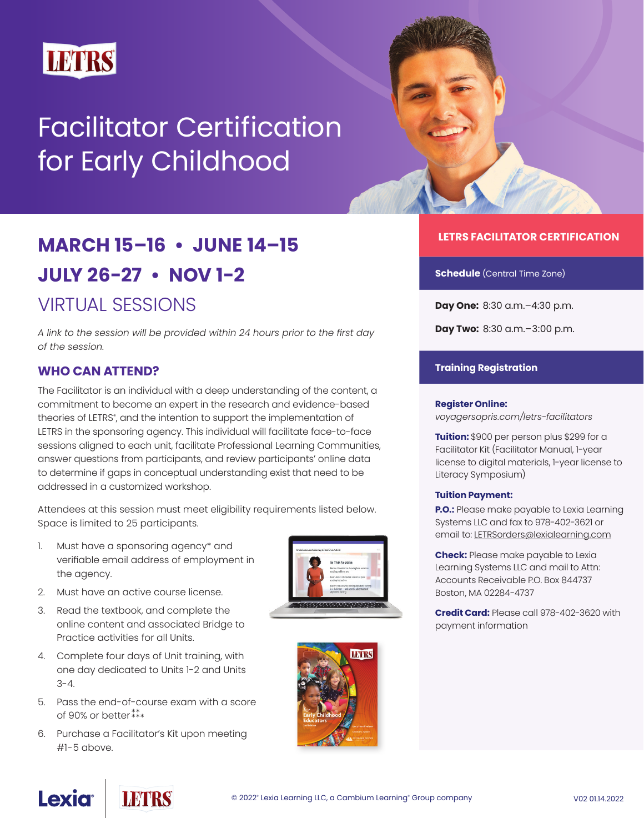

# Facilitator Certification for Early Childhood

# **MARCH 15–16 • JUNE 14–15 JULY 26-27 • NOV 1-2**  VIRTUAL SESSIONS

*A link to the session will be provided within 24 hours prior to the first day of the session.*

# **WHO CAN ATTEND?**

The Facilitator is an individual with a deep understanding of the content, a commitment to become an expert in the research and evidence-based theories of LETRS°, and the intention to support the implementation of LETRS in the sponsoring agency. This individual will facilitate face-to-face sessions aligned to each unit, facilitate Professional Learning Communities, answer questions from participants, and review participants' online data to determine if gaps in conceptual understanding exist that need to be addressed in a customized workshop.

Attendees at this session must meet eligibility requirements listed below. Space is limited to 25 participants.

- 1. Must have a sponsoring agency\* and verifiable email address of employment in the agency.
- 2. Must have an active course license.
- 3. Read the textbook, and complete the online content and associated Bridge to Practice activities for all Units.
- 4. Complete four days of Unit training, with one day dedicated to Units 1-2 and Units  $3 - 4.$
- 5. Pass the end-of-course exam with a score of 90% or better \*\* \*\*\*
- 6. Purchase a Facilitator's Kit upon meeting #1-5 above.





## **LETRS FACILITATOR CERTIFICATION**

**Schedule** (Central Time Zone)

**Day One:** 8:30 a.m.–4:30 p.m.

**Day Two:** 8:30 a.m.–3:00 p.m.

#### **Training Registration**

#### **Register Online:**

*[voyagersopris.com/letrs-facilitators](http://www.voyagersopris.com/letrs-facilitators)*

**Tuition:** \$900 per person plus \$299 for a Facilitator Kit (Facilitator Manual, 1-year license to digital materials, 1-year license to Literacy Symposium)

#### **Tuition Payment:**

**P.O.:** Please make payable to Lexia Learning Systems LLC and fax to 978-402-3621 or email to: [LETRSorders@lexialearning.com](mailto:LETRSorders%40lexialearning.com?subject=)

**Check:** Please make payable to Lexia Learning Systems LLC and mail to Attn: Accounts Receivable P.O. Box 844737 Boston, MA 02284-4737

**Credit Card:** Please call 978-402-3620 with payment information